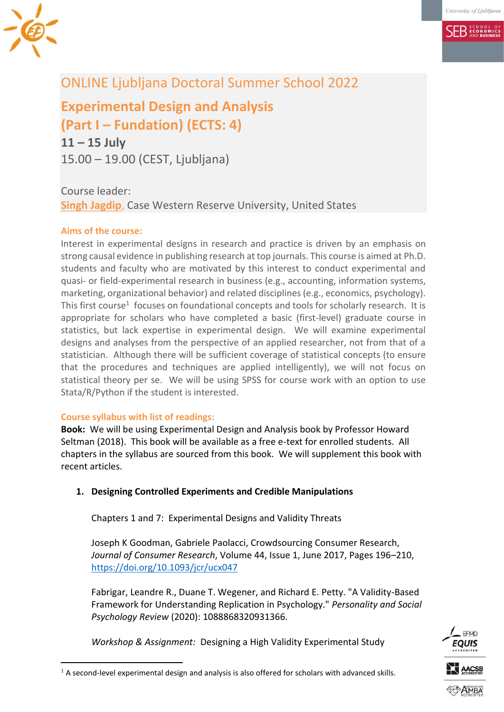

# ONLINE Ljubljana Doctoral Summer School 2022

**Experimental Design and Analysis (Part I – Fundation) (ECTS: 4) 11 – 15 July**

15.00 – 19.00 (CEST, Ljubljana)

Course leader: **Singh [Jagdip](mailto:jagdip.singh@case.edu)**, Case Western Reserve University, United States

## **Aims of the course:**

Interest in experimental designs in research and practice is driven by an emphasis on strong causal evidence in publishing research at top journals. This course is aimed at Ph.D. students and faculty who are motivated by this interest to conduct experimental and quasi- or field-experimental research in business (e.g., accounting, information systems, marketing, organizational behavior) and related disciplines (e.g., economics, psychology). This first course<sup>1</sup> focuses on foundational concepts and tools for scholarly research. It is appropriate for scholars who have completed a basic (first-level) graduate course in statistics, but lack expertise in experimental design. We will examine experimental designs and analyses from the perspective of an applied researcher, not from that of a statistician. Although there will be sufficient coverage of statistical concepts (to ensure that the procedures and techniques are applied intelligently), we will not focus on statistical theory per se. We will be using SPSS for course work with an option to use Stata/R/Python if the student is interested.

#### **Course syllabus with list of readings:**

<u>.</u>

**Book:** We will be using Experimental Design and Analysis book by Professor Howard Seltman (2018). This book will be available as a free e-text for enrolled students. All chapters in the syllabus are sourced from this book. We will supplement this book with recent articles.

## **1. Designing Controlled Experiments and Credible Manipulations**

Chapters 1 and 7: Experimental Designs and Validity Threats

Joseph K Goodman, Gabriele Paolacci, Crowdsourcing Consumer Research, *Journal of Consumer Research*, Volume 44, Issue 1, June 2017, Pages 196–210, <https://doi.org/10.1093/jcr/ucx047>

Fabrigar, Leandre R., Duane T. Wegener, and Richard E. Petty. "A Validity-Based Framework for Understanding Replication in Psychology." *Personality and Social Psychology Review* (2020): 1088868320931366.

*Workshop & Assignment:* Designing a High Validity Experimental Study



 $<sup>1</sup>$  A second-level experimental design and analysis is also offered for scholars with advanced skills.</sup>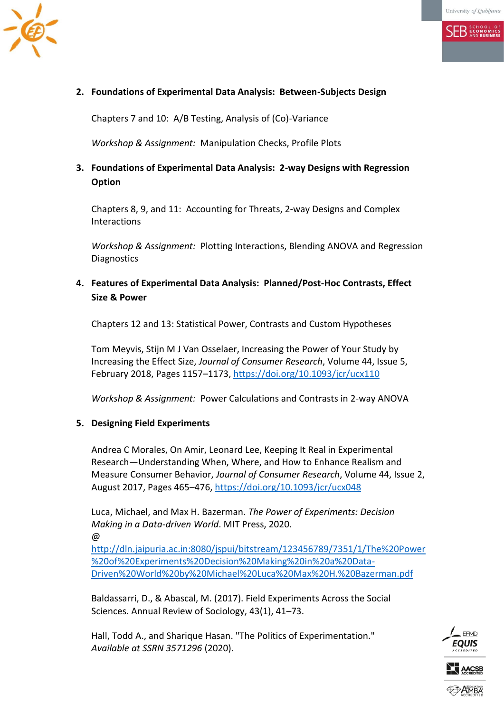

### **2. Foundations of Experimental Data Analysis: Between-Subjects Design**

Chapters 7 and 10: A/B Testing, Analysis of (Co)-Variance

*Workshop & Assignment:* Manipulation Checks, Profile Plots

## **3. Foundations of Experimental Data Analysis: 2-way Designs with Regression Option**

Chapters 8, 9, and 11: Accounting for Threats, 2-way Designs and Complex **Interactions** 

*Workshop & Assignment:* Plotting Interactions, Blending ANOVA and Regression **Diagnostics** 

## **4. Features of Experimental Data Analysis: Planned/Post-Hoc Contrasts, Effect Size & Power**

Chapters 12 and 13: Statistical Power, Contrasts and Custom Hypotheses

Tom Meyvis, Stijn M J Van Osselaer, Increasing the Power of Your Study by Increasing the Effect Size, *Journal of Consumer Research*, Volume 44, Issue 5, February 2018, Pages 1157–1173, <https://doi.org/10.1093/jcr/ucx110>

*Workshop & Assignment:* Power Calculations and Contrasts in 2-way ANOVA

#### **5. Designing Field Experiments**

Andrea C Morales, On Amir, Leonard Lee, Keeping It Real in Experimental Research—Understanding When, Where, and How to Enhance Realism and Measure Consumer Behavior, *Journal of Consumer Research*, Volume 44, Issue 2, August 2017, Pages 465–476,<https://doi.org/10.1093/jcr/ucx048>

Luca, Michael, and Max H. Bazerman. *The Power of Experiments: Decision Making in a Data-driven World*. MIT Press, 2020. @

[http://dln.jaipuria.ac.in:8080/jspui/bitstream/123456789/7351/1/The%20Power](http://dln.jaipuria.ac.in:8080/jspui/bitstream/123456789/7351/1/The%20Power%20of%20Experiments%20Decision%20Making%20in%20a%20Data-Driven%20World%20by%20Michael%20Luca%20Max%20H.%20Bazerman.pdf) [%20of%20Experiments%20Decision%20Making%20in%20a%20Data-](http://dln.jaipuria.ac.in:8080/jspui/bitstream/123456789/7351/1/The%20Power%20of%20Experiments%20Decision%20Making%20in%20a%20Data-Driven%20World%20by%20Michael%20Luca%20Max%20H.%20Bazerman.pdf)[Driven%20World%20by%20Michael%20Luca%20Max%20H.%20Bazerman.pdf](http://dln.jaipuria.ac.in:8080/jspui/bitstream/123456789/7351/1/The%20Power%20of%20Experiments%20Decision%20Making%20in%20a%20Data-Driven%20World%20by%20Michael%20Luca%20Max%20H.%20Bazerman.pdf)

Baldassarri, D., & Abascal, M. (2017). Field Experiments Across the Social Sciences. Annual Review of Sociology, 43(1), 41–73.

Hall, Todd A., and Sharique Hasan. "The Politics of Experimentation." *Available at SSRN 3571296* (2020).